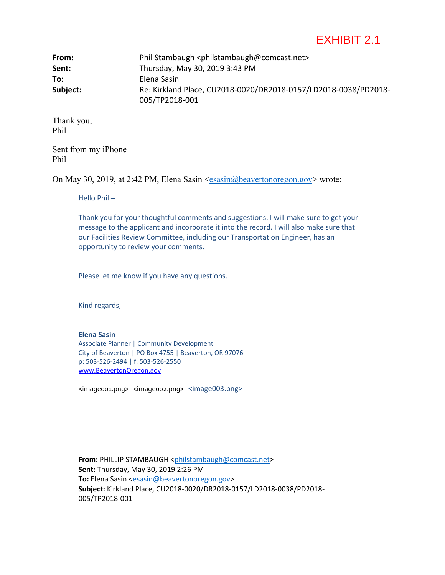## EXHIBIT 2.1

| From:    | Phil Stambaugh <philstambaugh@comcast.net></philstambaugh@comcast.net> |
|----------|------------------------------------------------------------------------|
| Sent:    | Thursday, May 30, 2019 3:43 PM                                         |
| To:      | Elena Sasin                                                            |
| Subject: | Re: Kirkland Place, CU2018-0020/DR2018-0157/LD2018-0038/PD2018-        |
|          | 005/TP2018-001                                                         |

Thank you, Phil

Sent from my iPhone Phil

On May 30, 2019, at 2:42 PM, Elena Sasin <esasin@beavertonoregon.gov> wrote:

Hello Phil –

Thank you for your thoughtful comments and suggestions. I will make sure to get your message to the applicant and incorporate it into the record. I will also make sure that our Facilities Review Committee, including our Transportation Engineer, has an opportunity to review your comments.

Please let me know if you have any questions.

Kind regards,

## **Elena Sasin**

Associate Planner | Community Development City of Beaverton | PO Box 4755 | Beaverton, OR 97076 p: 503-526-2494 | f: 503-526-2550 www.BeavertonOregon.gov

[<imag](https://urldefense.proofpoint.com/v2/url?u=https-3A__www.facebook.com_pg_CityofBeaverton_about_-3Fref-3Dpage-5Finternal&d=DwMFaQ&c=pslXprxdtWHFBuj41-AaSLF1gHAT1_cek1PvLND777Q&r=Nm361UZ5VYrWXGUwrafqpB4-hERnT3CwMnqf4cuAfi0&m=aIIrR4uc248UvW6CvSqllYuJeuWmUdGheLbrMOWXYdI&s=CidVnGkI_1yjRb_kqXUVCQm9RpP6Oz0N29VTPKMG8Eo&e=)e0[01.png> <imag](https://urldefense.proofpoint.com/v2/url?u=https-3A__twitter.com_CityofBeaverton&d=DwMFaQ&c=pslXprxdtWHFBuj41-AaSLF1gHAT1_cek1PvLND777Q&r=Nm361UZ5VYrWXGUwrafqpB4-hERnT3CwMnqf4cuAfi0&m=aIIrR4uc248UvW6CvSqllYuJeuWmUdGheLbrMOWXYdI&s=xOq9F6kfT4lWQ2f92TWpugvgWh_GDlV05fGNiwCH0Sc&e=)e002.png> [<image](https://urldefense.proofpoint.com/v2/url?u=https-3A__www.instagram.com_CityofBeaverton_&d=DwMFaQ&c=pslXprxdtWHFBuj41-AaSLF1gHAT1_cek1PvLND777Q&r=Nm361UZ5VYrWXGUwrafqpB4-hERnT3CwMnqf4cuAfi0&m=aIIrR4uc248UvW6CvSqllYuJeuWmUdGheLbrMOWXYdI&s=nnaZvT_K_UN5UvtchXbfBLxhNBa77EjWFmuxiSFhjEo&e=)003.png>

From: PHILLIP STAMBAUGH <philstambaugh@comcast.net> **Sent:** Thursday, May 30, 2019 2:26 PM To: Elena Sasin <esasin@beavertonoregon.gov> **Subject:** Kirkland Place, CU2018-0020/DR2018-0157/LD2018-0038/PD2018- 005/TP2018-001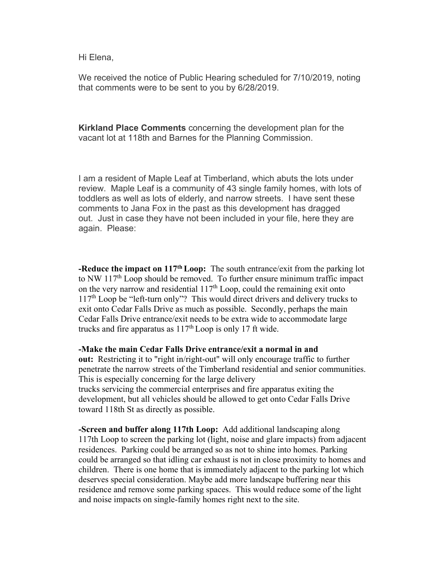Hi Elena,

We received the notice of Public Hearing scheduled for 7/10/2019, noting that comments were to be sent to you by 6/28/2019.

**Kirkland Place Comments** concerning the development plan for the vacant lot at 118th and Barnes for the Planning Commission.

I am a resident of Maple Leaf at Timberland, which abuts the lots under review. Maple Leaf is a community of 43 single family homes, with lots of toddlers as well as lots of elderly, and narrow streets. I have sent these comments to Jana Fox in the past as this development has dragged out. Just in case they have not been included in your file, here they are again. Please:

**-Reduce the impact on 117th Loop:** The south entrance/exit from the parking lot to NW  $117<sup>th</sup>$  Loop should be removed. To further ensure minimum traffic impact on the very narrow and residential  $117<sup>th</sup>$  Loop, could the remaining exit onto 117<sup>th</sup> Loop be "left-turn only"? This would direct drivers and delivery trucks to exit onto Cedar Falls Drive as much as possible. Secondly, perhaps the main Cedar Falls Drive entrance/exit needs to be extra wide to accommodate large trucks and fire apparatus as  $117<sup>th</sup>$  Loop is only 17 ft wide.

**-Make the main Cedar Falls Drive entrance/exit a normal in and out:** Restricting it to "right in/right-out" will only encourage traffic to further penetrate the narrow streets of the Timberland residential and senior communities. This is especially concerning for the large delivery trucks servicing the commercial enterprises and fire apparatus exiting the development, but all vehicles should be allowed to get onto Cedar Falls Drive toward 118th St as directly as possible.

**-Screen and buffer along 117th Loop:** Add additional landscaping along 117th Loop to screen the parking lot (light, noise and glare impacts) from adjacent residences. Parking could be arranged so as not to shine into homes. Parking could be arranged so that idling car exhaust is not in close proximity to homes and children. There is one home that is immediately adjacent to the parking lot which deserves special consideration. Maybe add more landscape buffering near this residence and remove some parking spaces. This would reduce some of the light and noise impacts on single-family homes right next to the site.